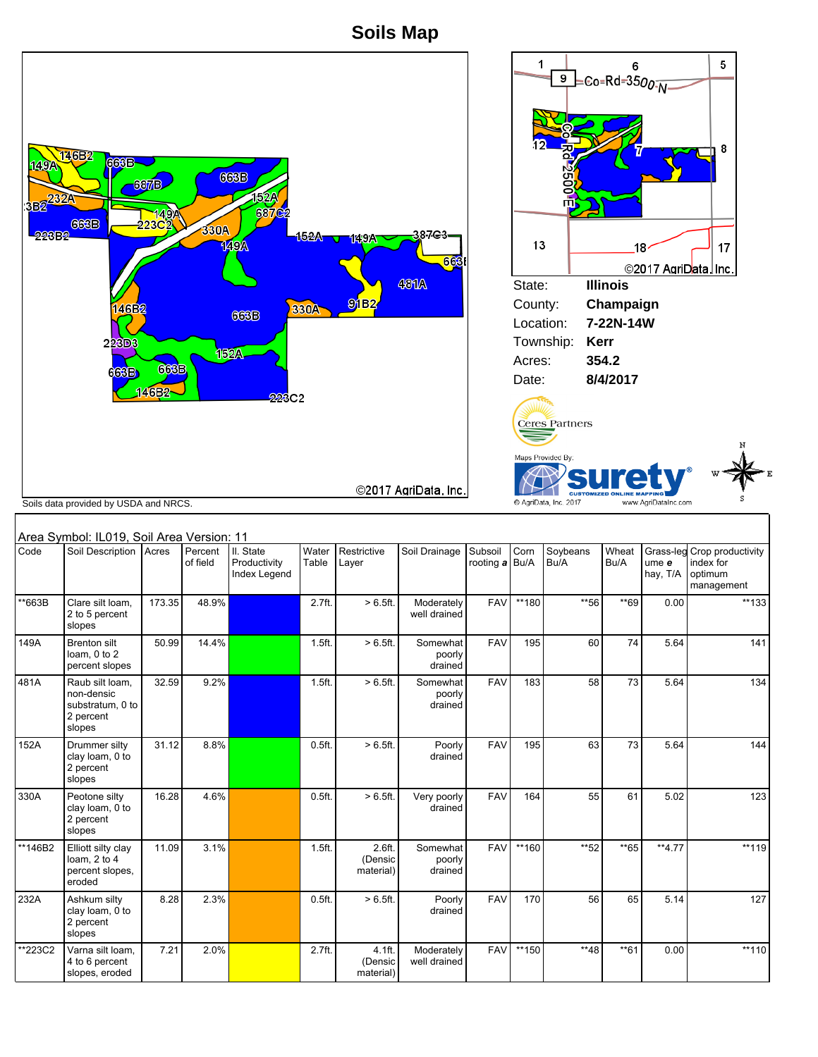**Soils Map**





| Area Symbol: IL019, Soil Area Version: 11 |                                                                          |        |                     |                                           |                   |                                |                               |                           |       |                  |               |                   |                                                                   |
|-------------------------------------------|--------------------------------------------------------------------------|--------|---------------------|-------------------------------------------|-------------------|--------------------------------|-------------------------------|---------------------------|-------|------------------|---------------|-------------------|-------------------------------------------------------------------|
| Code                                      | Soil Description   Acres                                                 |        | Percent<br>of field | II. State<br>Productivity<br>Index Legend | Water<br>Table    | Restrictive<br>Layer           | Soil Drainage                 | Subsoil<br>rooting a Bu/A | Corn  | Soybeans<br>Bu/A | Wheat<br>Bu/A | ume e<br>hay, T/A | Grass-leg Crop productivity<br>index for<br>optimum<br>management |
| **663B                                    | Clare silt loam.<br>2 to 5 percent<br>slopes                             | 173.35 | 48.9%               |                                           | 2.7ft.            | $> 6.5$ ft.                    | Moderately<br>well drained    | <b>FAV</b>                | **180 | **56             | **69          | 0.00              | $**133$                                                           |
| 149A                                      | <b>Brenton silt</b><br>loam. 0 to 2<br>percent slopes                    | 50.99  | 14.4%               |                                           | 1.5ft.            | $> 6.5$ ft.                    | Somewhat<br>poorly<br>drained | <b>FAV</b>                | 195   | 60               | 74            | 5.64              | 141                                                               |
| 481A                                      | Raub silt loam.<br>non-densic<br>substratum, 0 to<br>2 percent<br>slopes | 32.59  | 9.2%                |                                           | 1.5ft.            | $> 6.5$ ft.                    | Somewhat<br>poorly<br>drained | <b>FAV</b>                | 183   | 58               | 73            | 5.64              | 134                                                               |
| 152A                                      | Drummer silty<br>clay loam, 0 to<br>2 percent<br>slopes                  | 31.12  | 8.8%                |                                           | 0.5 <sub>ft</sub> | $>6.5$ ft.                     | Poorly<br>drained             | <b>FAV</b>                | 195   | 63               | 73            | 5.64              | 144                                                               |
| 330A                                      | Peotone silty<br>clay loam, 0 to<br>2 percent<br>slopes                  | 16.28  | 4.6%                |                                           | 0.5 <sub>ft</sub> | $>6.5$ ft.                     | Very poorly<br>drained        | <b>FAV</b>                | 164   | 55               | 61            | 5.02              | 123                                                               |
| **146B2                                   | Elliott silty clay<br>loam, 2 to 4<br>percent slopes,<br>eroded          | 11.09  | 3.1%                |                                           | 1.5ft.            | 2.6ft.<br>(Densic<br>material) | Somewhat<br>poorly<br>drained | <b>FAV</b>                | **160 | **52             | $*$ 65        | **4.77            | **119                                                             |
| 232A                                      | Ashkum silty<br>clay loam, 0 to<br>2 percent<br>slopes                   | 8.28   | 2.3%                |                                           | 0.5 <sub>ft</sub> | $> 6.5$ ft.                    | Poorly<br>drained             | <b>FAV</b>                | 170   | 56               | 65            | 5.14              | 127                                                               |
| **223C2                                   | Varna silt loam,<br>4 to 6 percent<br>slopes, eroded                     | 7.21   | 2.0%                |                                           | 2.7ft.            | 4.1ft.<br>(Densic<br>material) | Moderately<br>well drained    | <b>FAV</b>                | **150 | **48             | $*$ 61        | 0.00              | **110                                                             |